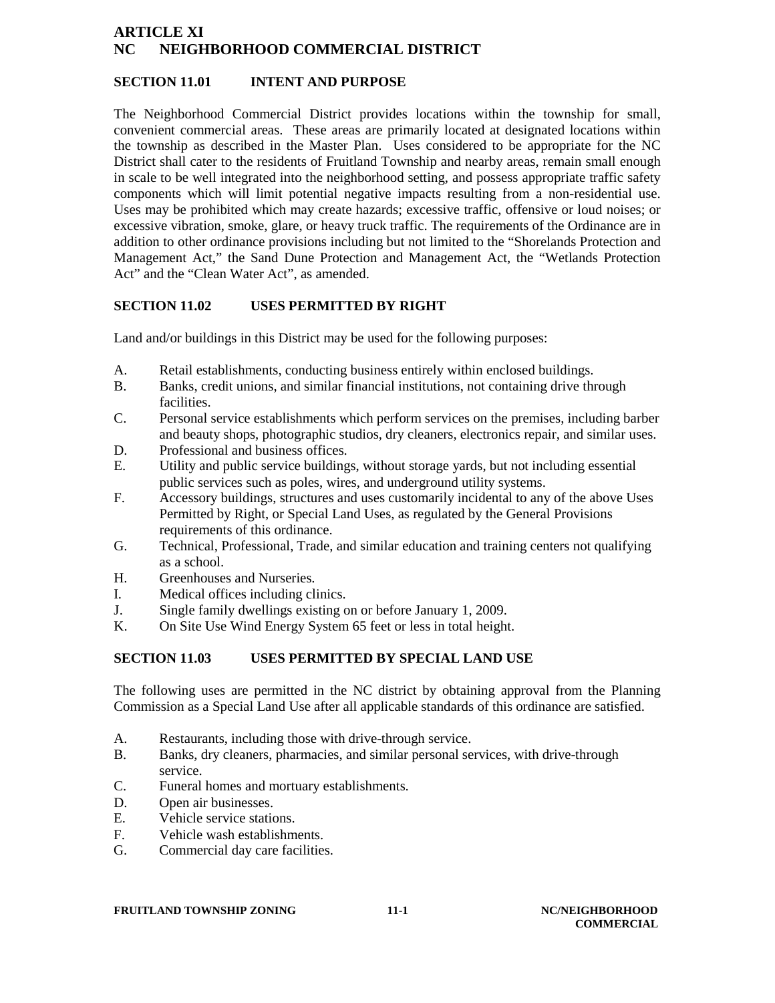# **ARTICLE XI NC NEIGHBORHOOD COMMERCIAL DISTRICT**

#### **SECTION 11.01 INTENT AND PURPOSE**

The Neighborhood Commercial District provides locations within the township for small, convenient commercial areas. These areas are primarily located at designated locations within the township as described in the Master Plan. Uses considered to be appropriate for the NC District shall cater to the residents of Fruitland Township and nearby areas, remain small enough in scale to be well integrated into the neighborhood setting, and possess appropriate traffic safety components which will limit potential negative impacts resulting from a non-residential use. Uses may be prohibited which may create hazards; excessive traffic, offensive or loud noises; or excessive vibration, smoke, glare, or heavy truck traffic. The requirements of the Ordinance are in addition to other ordinance provisions including but not limited to the "Shorelands Protection and Management Act," the Sand Dune Protection and Management Act, the "Wetlands Protection Act" and the "Clean Water Act", as amended.

## **SECTION 11.02 USES PERMITTED BY RIGHT**

Land and/or buildings in this District may be used for the following purposes:

- A. Retail establishments, conducting business entirely within enclosed buildings.
- B. Banks, credit unions, and similar financial institutions, not containing drive through facilities.
- C. Personal service establishments which perform services on the premises, including barber and beauty shops, photographic studios, dry cleaners, electronics repair, and similar uses.
- D. Professional and business offices.
- E. Utility and public service buildings, without storage yards, but not including essential public services such as poles, wires, and underground utility systems.
- F. Accessory buildings, structures and uses customarily incidental to any of the above Uses Permitted by Right, or Special Land Uses, as regulated by the General Provisions requirements of this ordinance.
- G. Technical, Professional, Trade, and similar education and training centers not qualifying as a school.
- H. Greenhouses and Nurseries.
- I. Medical offices including clinics.
- J. Single family dwellings existing on or before January 1, 2009.
- K. On Site Use Wind Energy System 65 feet or less in total height.

# **SECTION 11.03 USES PERMITTED BY SPECIAL LAND USE**

The following uses are permitted in the NC district by obtaining approval from the Planning Commission as a Special Land Use after all applicable standards of this ordinance are satisfied.

- A. Restaurants, including those with drive-through service.
- B. Banks, dry cleaners, pharmacies, and similar personal services, with drive-through service.
- C. Funeral homes and mortuary establishments.
- D. Open air businesses.
- E. Vehicle service stations.
- F. Vehicle wash establishments.
- G. Commercial day care facilities.